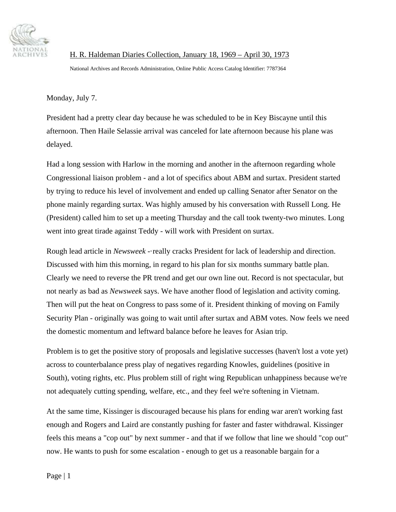

 H. R. Haldeman Diaries Collection, January 18, 1969 – April 30, 1973 National Archives and Records Administration, Online Public Access Catalog Identifier: 7787364

Monday, July 7.

President had a pretty clear day because he was scheduled to be in Key Biscayne until this afternoon. Then Haile Selassie arrival was canceled for late afternoon because his plane was delayed.

Had a long session with Harlow in the morning and another in the afternoon regarding whole Congressional liaison problem - and a lot of specifics about ABM and surtax. President started by trying to reduce his level of involvement and ended up calling Senator after Senator on the phone mainly regarding surtax. Was highly amused by his conversation with Russell Long. He (President) called him to set up a meeting Thursday and the call took twenty-two minutes. Long went into great tirade against Teddy - will work with President on surtax.

Rough lead article in *Newsweek* -·really cracks President for lack of leadership and direction. Discussed with him this morning, in regard to his plan for six months summary battle plan. Clearly we need to reverse the PR trend and get our own line out. Record is not spectacular, but not nearly as bad as *Newsweek* says. We have another flood of legislation and activity coming. Then will put the heat on Congress to pass some of it. President thinking of moving on Family Security Plan - originally was going to wait until after surtax and ABM votes. Now feels we need the domestic momentum and leftward balance before he leaves for Asian trip.

Problem is to get the positive story of proposals and legislative successes (haven't lost a vote yet) across to counterbalance press play of negatives regarding Knowles, guidelines (positive in South), voting rights, etc. Plus problem still of right wing Republican unhappiness because we're not adequately cutting spending, welfare, etc., and they feel we're softening in Vietnam.

At the same time, Kissinger is discouraged because his plans for ending war aren't working fast enough and Rogers and Laird are constantly pushing for faster and faster withdrawal. Kissinger feels this means a "cop out" by next summer - and that if we follow that line we should "cop out" now. He wants to push for some escalation - enough to get us a reasonable bargain for a